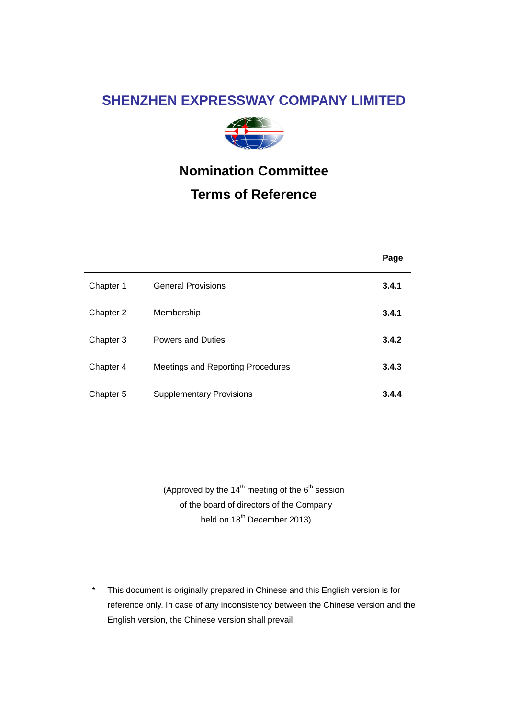# **SHENZHEN EXPRESSWAY COMPANY LIMITED**



# **Nomination Committee Terms of Reference**

|           |                                   | Page  |
|-----------|-----------------------------------|-------|
| Chapter 1 | <b>General Provisions</b>         | 3.4.1 |
| Chapter 2 | Membership                        | 3.4.1 |
| Chapter 3 | <b>Powers and Duties</b>          | 3.4.2 |
| Chapter 4 | Meetings and Reporting Procedures | 3.4.3 |
| Chapter 5 | <b>Supplementary Provisions</b>   | 3.4.4 |

(Approved by the  $14<sup>th</sup>$  meeting of the  $6<sup>th</sup>$  session of the board of directors of the Company held on  $18^{th}$  December 2013)

\* This document is originally prepared in Chinese and this English version is for reference only. In case of any inconsistency between the Chinese version and the English version, the Chinese version shall prevail.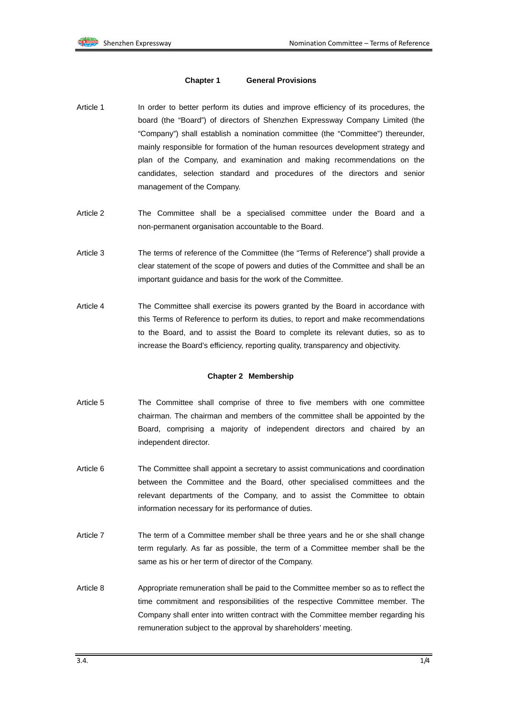#### **Chapter 1 General Provisions**

- Article 1 In order to better perform its duties and improve efficiency of its procedures, the board (the "Board") of directors of Shenzhen Expressway Company Limited (the "Company") shall establish a nomination committee (the "Committee") thereunder, mainly responsible for formation of the human resources development strategy and plan of the Company, and examination and making recommendations on the candidates, selection standard and procedures of the directors and senior management of the Company.
- Article 2 The Committee shall be a specialised committee under the Board and a non-permanent organisation accountable to the Board.
- Article 3 The terms of reference of the Committee (the "Terms of Reference") shall provide a clear statement of the scope of powers and duties of the Committee and shall be an important guidance and basis for the work of the Committee.
- Article 4 The Committee shall exercise its powers granted by the Board in accordance with this Terms of Reference to perform its duties, to report and make recommendations to the Board, and to assist the Board to complete its relevant duties, so as to increase the Board's efficiency, reporting quality, transparency and objectivity.

#### **Chapter 2 Membership**

- Article 5 The Committee shall comprise of three to five members with one committee chairman. The chairman and members of the committee shall be appointed by the Board, comprising a majority of independent directors and chaired by an independent director.
- Article 6 The Committee shall appoint a secretary to assist communications and coordination between the Committee and the Board, other specialised committees and the relevant departments of the Company, and to assist the Committee to obtain information necessary for its performance of duties.
- Article 7 The term of a Committee member shall be three years and he or she shall change term regularly. As far as possible, the term of a Committee member shall be the same as his or her term of director of the Company.
- Article 8 Appropriate remuneration shall be paid to the Committee member so as to reflect the time commitment and responsibilities of the respective Committee member. The Company shall enter into written contract with the Committee member regarding his remuneration subject to the approval by shareholders' meeting.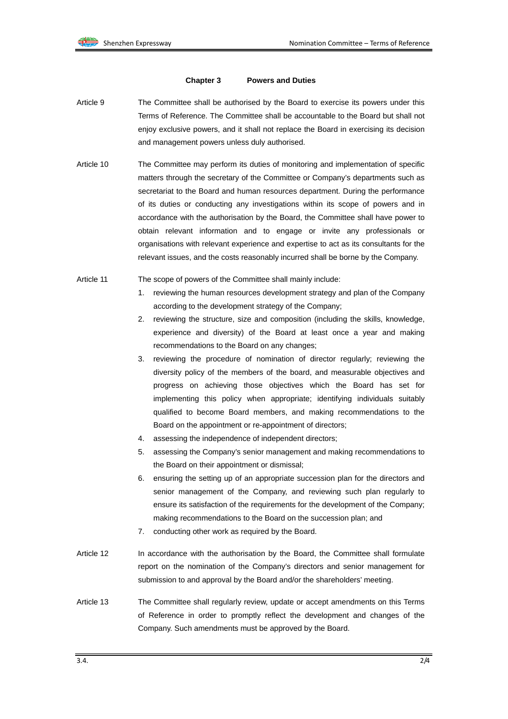#### **Chapter 3 Powers and Duties**

- Article 9 The Committee shall be authorised by the Board to exercise its powers under this Terms of Reference. The Committee shall be accountable to the Board but shall not enjoy exclusive powers, and it shall not replace the Board in exercising its decision and management powers unless duly authorised.
- Article 10 The Committee may perform its duties of monitoring and implementation of specific matters through the secretary of the Committee or Company's departments such as secretariat to the Board and human resources department. During the performance of its duties or conducting any investigations within its scope of powers and in accordance with the authorisation by the Board, the Committee shall have power to obtain relevant information and to engage or invite any professionals or organisations with relevant experience and expertise to act as its consultants for the relevant issues, and the costs reasonably incurred shall be borne by the Company.
- Article 11 The scope of powers of the Committee shall mainly include:
	- 1. reviewing the human resources development strategy and plan of the Company according to the development strategy of the Company;
	- 2. reviewing the structure, size and composition (including the skills, knowledge, experience and diversity) of the Board at least once a year and making recommendations to the Board on any changes;
	- 3. reviewing the procedure of nomination of director regularly; reviewing the diversity policy of the members of the board, and measurable objectives and progress on achieving those objectives which the Board has set for implementing this policy when appropriate; identifying individuals suitably qualified to become Board members, and making recommendations to the Board on the appointment or re-appointment of directors;
	- 4. assessing the independence of independent directors;
	- 5. assessing the Company's senior management and making recommendations to the Board on their appointment or dismissal;
	- 6. ensuring the setting up of an appropriate succession plan for the directors and senior management of the Company, and reviewing such plan regularly to ensure its satisfaction of the requirements for the development of the Company; making recommendations to the Board on the succession plan; and
	- 7. conducting other work as required by the Board.
- Article 12 In accordance with the authorisation by the Board, the Committee shall formulate report on the nomination of the Company's directors and senior management for submission to and approval by the Board and/or the shareholders' meeting.
- Article 13 The Committee shall regularly review, update or accept amendments on this Terms of Reference in order to promptly reflect the development and changes of the Company. Such amendments must be approved by the Board.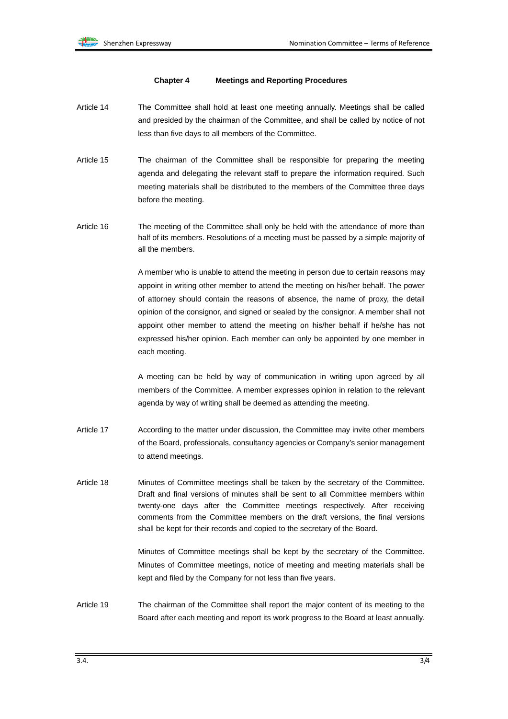### **Chapter 4 Meetings and Reporting Procedures**

- Article 14 The Committee shall hold at least one meeting annually. Meetings shall be called and presided by the chairman of the Committee, and shall be called by notice of not less than five days to all members of the Committee.
- Article 15 The chairman of the Committee shall be responsible for preparing the meeting agenda and delegating the relevant staff to prepare the information required. Such meeting materials shall be distributed to the members of the Committee three days before the meeting.
- Article 16 The meeting of the Committee shall only be held with the attendance of more than half of its members. Resolutions of a meeting must be passed by a simple majority of all the members.

A member who is unable to attend the meeting in person due to certain reasons may appoint in writing other member to attend the meeting on his/her behalf. The power of attorney should contain the reasons of absence, the name of proxy, the detail opinion of the consignor, and signed or sealed by the consignor. A member shall not appoint other member to attend the meeting on his/her behalf if he/she has not expressed his/her opinion. Each member can only be appointed by one member in each meeting.

A meeting can be held by way of communication in writing upon agreed by all members of the Committee. A member expresses opinion in relation to the relevant agenda by way of writing shall be deemed as attending the meeting.

- Article 17 According to the matter under discussion, the Committee may invite other members of the Board, professionals, consultancy agencies or Company's senior management to attend meetings.
- Article 18 Minutes of Committee meetings shall be taken by the secretary of the Committee. Draft and final versions of minutes shall be sent to all Committee members within twenty-one days after the Committee meetings respectively. After receiving comments from the Committee members on the draft versions, the final versions shall be kept for their records and copied to the secretary of the Board.

 Minutes of Committee meetings shall be kept by the secretary of the Committee. Minutes of Committee meetings, notice of meeting and meeting materials shall be kept and filed by the Company for not less than five years.

Article 19 The chairman of the Committee shall report the major content of its meeting to the Board after each meeting and report its work progress to the Board at least annually.